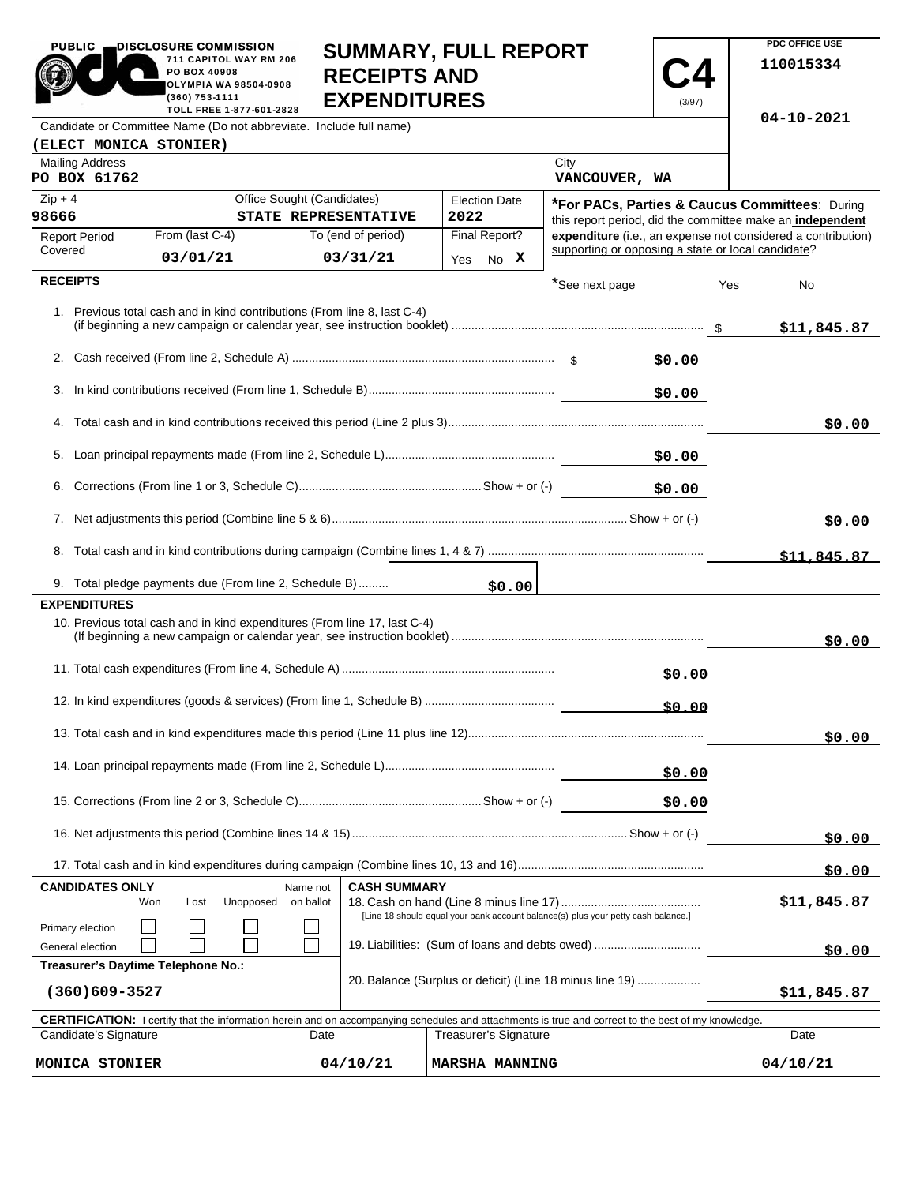| <b>PUBLIC</b><br>DISCLOSURE COMMISSION                                                 |                                |                                                 |                                                                                   | <b>SUMMARY, FULL REPORT</b>                                                                                                                                |                                                                                                                                                                                                                                      |        |     | PDC OFFICE USE   |
|----------------------------------------------------------------------------------------|--------------------------------|-------------------------------------------------|-----------------------------------------------------------------------------------|------------------------------------------------------------------------------------------------------------------------------------------------------------|--------------------------------------------------------------------------------------------------------------------------------------------------------------------------------------------------------------------------------------|--------|-----|------------------|
|                                                                                        | PO BOX 40908<br>(360) 753-1111 | 711 CAPITOL WAY RM 206<br>OLYMPIA WA 98504-0908 | <b>RECEIPTS AND</b><br><b>EXPENDITURES</b>                                        |                                                                                                                                                            |                                                                                                                                                                                                                                      | (3/97) |     | 110015334        |
| Candidate or Committee Name (Do not abbreviate. Include full name)                     |                                | TOLL FREE 1-877-601-2828                        |                                                                                   |                                                                                                                                                            |                                                                                                                                                                                                                                      |        |     | $04 - 10 - 2021$ |
| (ELECT MONICA STONIER)                                                                 |                                |                                                 |                                                                                   |                                                                                                                                                            |                                                                                                                                                                                                                                      |        |     |                  |
| <b>Mailing Address</b><br>PO BOX 61762                                                 |                                |                                                 |                                                                                   |                                                                                                                                                            | City<br>VANCOUVER, WA                                                                                                                                                                                                                |        |     |                  |
| $Zip + 4$                                                                              |                                | Office Sought (Candidates)                      |                                                                                   | <b>Election Date</b>                                                                                                                                       | <b>*For PACs, Parties &amp; Caucus Committees: During</b>                                                                                                                                                                            |        |     |                  |
| 98666<br><b>Report Period</b>                                                          | From (last C-4)                |                                                 | STATE REPRESENTATIVE<br>To (end of period)                                        | 2022<br>Final Report?                                                                                                                                      | this report period, did the committee make an independent<br>expenditure (i.e., an expense not considered a contribution)                                                                                                            |        |     |                  |
| Covered                                                                                | 03/01/21                       |                                                 | 03/31/21                                                                          | Yes No X                                                                                                                                                   | supporting or opposing a state or local candidate?                                                                                                                                                                                   |        |     |                  |
| <b>RECEIPTS</b>                                                                        |                                |                                                 |                                                                                   |                                                                                                                                                            |                                                                                                                                                                                                                                      |        |     |                  |
|                                                                                        |                                |                                                 |                                                                                   |                                                                                                                                                            | *See next page                                                                                                                                                                                                                       |        | Yes | No               |
|                                                                                        |                                |                                                 | 1. Previous total cash and in kind contributions (From line 8, last C-4)          |                                                                                                                                                            |                                                                                                                                                                                                                                      |        |     | \$11,845.87      |
|                                                                                        |                                |                                                 |                                                                                   |                                                                                                                                                            |                                                                                                                                                                                                                                      |        |     |                  |
| 3.                                                                                     |                                |                                                 |                                                                                   |                                                                                                                                                            |                                                                                                                                                                                                                                      | \$0.00 |     |                  |
|                                                                                        |                                |                                                 |                                                                                   |                                                                                                                                                            |                                                                                                                                                                                                                                      |        |     | \$0.00           |
|                                                                                        |                                |                                                 |                                                                                   |                                                                                                                                                            |                                                                                                                                                                                                                                      | \$0.00 |     |                  |
|                                                                                        |                                |                                                 |                                                                                   |                                                                                                                                                            |                                                                                                                                                                                                                                      | \$0.00 |     |                  |
|                                                                                        |                                |                                                 |                                                                                   |                                                                                                                                                            |                                                                                                                                                                                                                                      |        |     | \$0.00           |
|                                                                                        |                                |                                                 |                                                                                   |                                                                                                                                                            |                                                                                                                                                                                                                                      |        |     | \$11,845.87      |
| 9. Total pledge payments due (From line 2, Schedule B)                                 |                                |                                                 |                                                                                   | \$0.00                                                                                                                                                     | <u> 1989 - Jan Stern Stern Stern Stern Stern Stern Stern Stern Stern Stern Stern Stern Stern Stern Stern Stern Stern Stern Stern Stern Stern Stern Stern Stern Stern Stern Stern Stern Stern Stern Stern Stern Stern Stern Stern</u> |        |     |                  |
| <b>EXPENDITURES</b>                                                                    |                                |                                                 |                                                                                   |                                                                                                                                                            |                                                                                                                                                                                                                                      |        |     |                  |
|                                                                                        |                                |                                                 | 10. Previous total cash and in kind expenditures (From line 17, last C-4)         |                                                                                                                                                            |                                                                                                                                                                                                                                      |        |     | \$0.00           |
|                                                                                        |                                |                                                 |                                                                                   |                                                                                                                                                            |                                                                                                                                                                                                                                      | \$0.00 |     |                  |
|                                                                                        |                                |                                                 |                                                                                   |                                                                                                                                                            | \$0.00                                                                                                                                                                                                                               |        |     |                  |
|                                                                                        |                                |                                                 |                                                                                   |                                                                                                                                                            |                                                                                                                                                                                                                                      |        |     | \$0.00           |
|                                                                                        |                                |                                                 |                                                                                   |                                                                                                                                                            | \$0.00                                                                                                                                                                                                                               |        |     |                  |
|                                                                                        |                                |                                                 |                                                                                   |                                                                                                                                                            |                                                                                                                                                                                                                                      | \$0.00 |     |                  |
|                                                                                        |                                |                                                 |                                                                                   |                                                                                                                                                            |                                                                                                                                                                                                                                      |        |     | \$0.00           |
|                                                                                        |                                |                                                 |                                                                                   |                                                                                                                                                            |                                                                                                                                                                                                                                      |        |     | \$0.00           |
| <b>CANDIDATES ONLY</b>                                                                 |                                | Name not                                        | <b>CASH SUMMARY</b>                                                               |                                                                                                                                                            |                                                                                                                                                                                                                                      |        |     |                  |
| Won                                                                                    | Lost                           | Unopposed<br>on ballot                          | [Line 18 should equal your bank account balance(s) plus your petty cash balance.] |                                                                                                                                                            |                                                                                                                                                                                                                                      |        |     | \$11,845.87      |
| Primary election<br>19. Liabilities: (Sum of loans and debts owed)<br>General election |                                |                                                 |                                                                                   |                                                                                                                                                            |                                                                                                                                                                                                                                      |        |     |                  |
| Treasurer's Daytime Telephone No.:                                                     |                                |                                                 |                                                                                   |                                                                                                                                                            |                                                                                                                                                                                                                                      |        |     | <u>50.00 </u>    |
| $(360)609 - 3527$                                                                      |                                |                                                 |                                                                                   | 20. Balance (Surplus or deficit) (Line 18 minus line 19)                                                                                                   |                                                                                                                                                                                                                                      |        |     | \$11,845.87      |
|                                                                                        |                                |                                                 |                                                                                   | <b>CERTIFICATION:</b> I certify that the information herein and on accompanying schedules and attachments is true and correct to the best of my knowledge. |                                                                                                                                                                                                                                      |        |     |                  |
| Candidate's Signature                                                                  |                                |                                                 | Date                                                                              | Treasurer's Signature                                                                                                                                      |                                                                                                                                                                                                                                      |        |     | Date             |

| <b>CERTIFICATION:</b> I certify that the information herein and on accompanying schedules and attachments is true and correct to the best of my knowledge. |          |                       |          |  |  |
|------------------------------------------------------------------------------------------------------------------------------------------------------------|----------|-----------------------|----------|--|--|
| Candidate's Signature                                                                                                                                      | Date     | Treasurer's Signature | Date     |  |  |
| MONICA STONIER                                                                                                                                             | 04/10/21 | <b>MARSHA MANNING</b> | 04/10/21 |  |  |